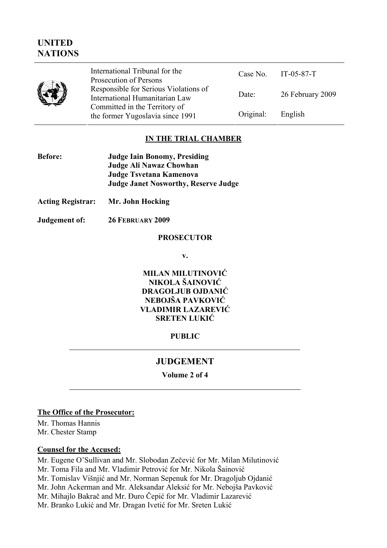# **UNITED NATIONS**

|  | International Tribunal for the<br>Prosecution of Persons                |           | Case No. IT-05-87-T |
|--|-------------------------------------------------------------------------|-----------|---------------------|
|  | Responsible for Serious Violations of<br>International Humanitarian Law | Date:     | 26 February 2009    |
|  | Committed in the Territory of<br>the former Yugoslavia since 1991       | Original: | English             |

# **IN THE TRIAL CHAMBER**

| <b>Before:</b> | <b>Judge Iain Bonomy, Presiding</b>         |
|----------------|---------------------------------------------|
|                | Judge Ali Nawaz Chowhan                     |
|                | Judge Tsvetana Kamenova                     |
|                | <b>Judge Janet Nosworthy, Reserve Judge</b> |

- **Acting Registrar: Mr. John Hocking**
- **Judgement of: 26 FEBRUARY 2009**

### **PROSECUTOR**

**v.** 

**MILAN MILUTINOVIĆ NIKOLA ŠAINOVIĆ DRAGOLJUB OJDANIĆ NEBOJŠA PAVKOVIĆ VLADIMIR LAZAREVIĆ SRETEN LUKIĆ**

### **PUBLIC**

## **JUDGEMENT**

**Volume 2 of 4** 

#### **The Office of the Prosecutor:**

Mr. Thomas Hannis Mr. Chester Stamp

### **Counsel for the Accused:**

Mr. Eugene O'Sullivan and Mr. Slobodan Zečević for Mr. Milan Milutinović Mr. Toma Fila and Mr. Vladimir Petrović for Mr. Nikola Šainović Mr. Tomislav Višnjić and Mr. Norman Sepenuk for Mr. Dragoljub Ojdanić Mr. John Ackerman and Mr. Aleksandar Aleksić for Mr. Nebojša Pavković Mr. Mihajlo Bakrač and Mr. Đuro Čepić for Mr. Vladimir Lazarević Mr. Branko Lukić and Mr. Dragan Ivetić for Mr. Sreten Lukić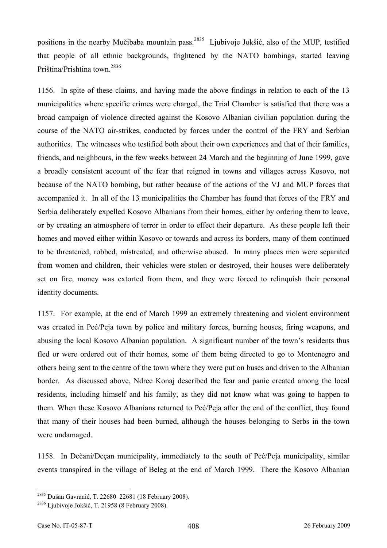positions in the nearby Mučibaba mountain pass.<sup>2835</sup> Ljubivoje Jokšić, also of the MUP, testified that people of all ethnic backgrounds, frightened by the NATO bombings, started leaving Priština/Prishtina town.2836

1156. In spite of these claims, and having made the above findings in relation to each of the 13 municipalities where specific crimes were charged, the Trial Chamber is satisfied that there was a broad campaign of violence directed against the Kosovo Albanian civilian population during the course of the NATO air-strikes, conducted by forces under the control of the FRY and Serbian authorities. The witnesses who testified both about their own experiences and that of their families, friends, and neighbours, in the few weeks between 24 March and the beginning of June 1999, gave a broadly consistent account of the fear that reigned in towns and villages across Kosovo, not because of the NATO bombing, but rather because of the actions of the VJ and MUP forces that accompanied it. In all of the 13 municipalities the Chamber has found that forces of the FRY and Serbia deliberately expelled Kosovo Albanians from their homes, either by ordering them to leave, or by creating an atmosphere of terror in order to effect their departure. As these people left their homes and moved either within Kosovo or towards and across its borders, many of them continued to be threatened, robbed, mistreated, and otherwise abused. In many places men were separated from women and children, their vehicles were stolen or destroyed, their houses were deliberately set on fire, money was extorted from them, and they were forced to relinquish their personal identity documents.

1157. For example, at the end of March 1999 an extremely threatening and violent environment was created in Peć/Peja town by police and military forces, burning houses, firing weapons, and abusing the local Kosovo Albanian population. A significant number of the town's residents thus fled or were ordered out of their homes, some of them being directed to go to Montenegro and others being sent to the centre of the town where they were put on buses and driven to the Albanian border. As discussed above, Ndrec Konaj described the fear and panic created among the local residents, including himself and his family, as they did not know what was going to happen to them. When these Kosovo Albanians returned to Peć/Peja after the end of the conflict, they found that many of their houses had been burned, although the houses belonging to Serbs in the town were undamaged.

1158. In Dečani/Deçan municipality, immediately to the south of Peć/Peja municipality, similar events transpired in the village of Beleg at the end of March 1999. There the Kosovo Albanian

<sup>&</sup>lt;sup>2835</sup> Dušan Gavranić, T. 22680–22681 (18 February 2008).

<sup>&</sup>lt;sup>2836</sup> Ljubivoje Jokšić, T. 21958 (8 February 2008).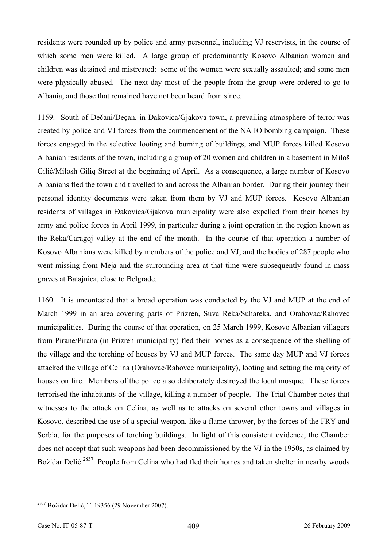residents were rounded up by police and army personnel, including VJ reservists, in the course of which some men were killed. A large group of predominantly Kosovo Albanian women and children was detained and mistreated: some of the women were sexually assaulted; and some men were physically abused. The next day most of the people from the group were ordered to go to Albania, and those that remained have not been heard from since.

1159. South of Dečani/Deçan, in Đakovica/Gjakova town, a prevailing atmosphere of terror was created by police and VJ forces from the commencement of the NATO bombing campaign. These forces engaged in the selective looting and burning of buildings, and MUP forces killed Kosovo Albanian residents of the town, including a group of 20 women and children in a basement in Miloš Gilić/Milosh Giliq Street at the beginning of April. As a consequence, a large number of Kosovo Albanians fled the town and travelled to and across the Albanian border. During their journey their personal identity documents were taken from them by VJ and MUP forces. Kosovo Albanian residents of villages in Đakovica/Gjakova municipality were also expelled from their homes by army and police forces in April 1999, in particular during a joint operation in the region known as the Reka/Caragoj valley at the end of the month. In the course of that operation a number of Kosovo Albanians were killed by members of the police and VJ, and the bodies of 287 people who went missing from Meja and the surrounding area at that time were subsequently found in mass graves at Batajnica, close to Belgrade.

1160. It is uncontested that a broad operation was conducted by the VJ and MUP at the end of March 1999 in an area covering parts of Prizren, Suva Reka/Suhareka, and Orahovac/Rahovec municipalities. During the course of that operation, on 25 March 1999, Kosovo Albanian villagers from Pirane/Pirana (in Prizren municipality) fled their homes as a consequence of the shelling of the village and the torching of houses by VJ and MUP forces. The same day MUP and VJ forces attacked the village of Celina (Orahovac/Rahovec municipality), looting and setting the majority of houses on fire. Members of the police also deliberately destroyed the local mosque. These forces terrorised the inhabitants of the village, killing a number of people. The Trial Chamber notes that witnesses to the attack on Celina, as well as to attacks on several other towns and villages in Kosovo, described the use of a special weapon, like a flame-thrower, by the forces of the FRY and Serbia, for the purposes of torching buildings. In light of this consistent evidence, the Chamber does not accept that such weapons had been decommissioned by the VJ in the 1950s, as claimed by Božidar Delić.<sup>2837</sup> People from Celina who had fled their homes and taken shelter in nearby woods

<sup>&</sup>lt;sup>2837</sup> Božidar Delić, T. 19356 (29 November 2007).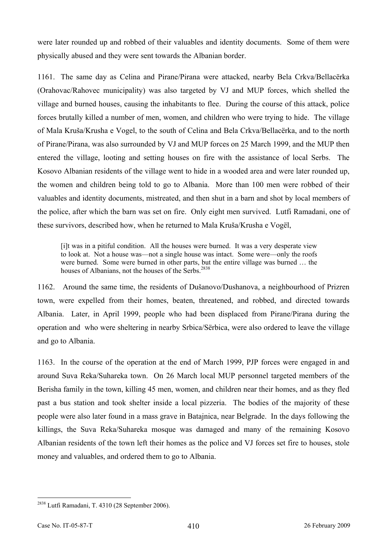were later rounded up and robbed of their valuables and identity documents. Some of them were physically abused and they were sent towards the Albanian border.

1161. The same day as Celina and Pirane/Pirana were attacked, nearby Bela Crkva/Bellacërka (Orahovac/Rahovec municipality) was also targeted by VJ and MUP forces, which shelled the village and burned houses, causing the inhabitants to flee. During the course of this attack, police forces brutally killed a number of men, women, and children who were trying to hide. The village of Mala Kruša/Krusha e Vogel, to the south of Celina and Bela Crkva/Bellacërka, and to the north of Pirane/Pirana, was also surrounded by VJ and MUP forces on 25 March 1999, and the MUP then entered the village, looting and setting houses on fire with the assistance of local Serbs. The Kosovo Albanian residents of the village went to hide in a wooded area and were later rounded up, the women and children being told to go to Albania. More than 100 men were robbed of their valuables and identity documents, mistreated, and then shut in a barn and shot by local members of the police, after which the barn was set on fire. Only eight men survived. Lutfi Ramadani, one of these survivors, described how, when he returned to Mala Kruša/Krusha e Vogël,

[i]t was in a pitiful condition. All the houses were burned. It was a very desperate view to look at. Not a house was—not a single house was intact. Some were—only the roofs were burned. Some were burned in other parts, but the entire village was burned … the houses of Albanians, not the houses of the Serbs.<sup>2838</sup>

1162. Around the same time, the residents of Dušanovo/Dushanova, a neighbourhood of Prizren town, were expelled from their homes, beaten, threatened, and robbed, and directed towards Albania. Later, in April 1999, people who had been displaced from Pirane/Pirana during the operation and who were sheltering in nearby Srbica/Sërbica, were also ordered to leave the village and go to Albania.

1163. In the course of the operation at the end of March 1999, PJP forces were engaged in and around Suva Reka/Suhareka town. On 26 March local MUP personnel targeted members of the Berisha family in the town, killing 45 men, women, and children near their homes, and as they fled past a bus station and took shelter inside a local pizzeria. The bodies of the majority of these people were also later found in a mass grave in Batajnica, near Belgrade. In the days following the killings, the Suva Reka/Suhareka mosque was damaged and many of the remaining Kosovo Albanian residents of the town left their homes as the police and VJ forces set fire to houses, stole money and valuables, and ordered them to go to Albania.

 $2838$  Lutfi Ramadani, T. 4310 (28 September 2006).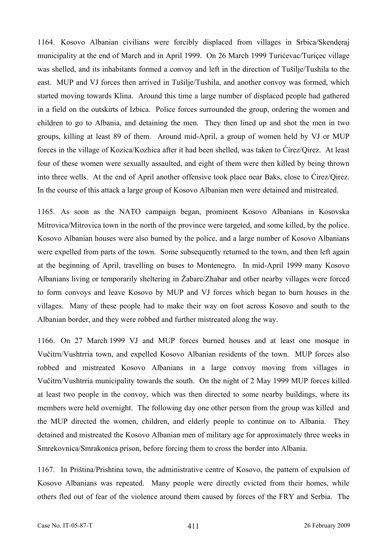1164. Kosovo Albanian civilians were forcibly displaced from villages in Srbica/Skenderaj municipality at the end of March and in April 1999. On 26 March 1999 Turićevac/Turiçec village was shelled, and its inhabitants formed a convoy and left in the direction of Tušilje/Tushila to the east. MUP and VJ forces then arrived in Tušilje/Tushila, and another convoy was formed, which started moving towards Klina. Around this time a large number of displaced people had gathered in a field on the outskirts of Izbica. Police forces surrounded the group, ordering the women and children to go to Albania, and detaining the men. They then lined up and shot the men in two groups, killing at least 89 of them. Around mid-April, a group of women held by VJ or MUP forces in the village of Kozica/Kozhica after it had been shelled, was taken to Ćirez/Qirez. At least four of these women were sexually assaulted, and eight of them were then killed by being thrown into three wells. At the end of April another offensive took place near Baks, close to Ćirez/Qirez. In the course of this attack a large group of Kosovo Albanian men were detained and mistreated.

1165. As soon as the NATO campaign began, prominent Kosovo Albanians in Kosovska Mitrovica/Mitrovica town in the north of the province were targeted, and some killed, by the police. Kosovo Albanian houses were also burned by the police, and a large number of Kosovo Albanians were expelled from parts of the town. Some subsequently returned to the town, and then left again at the beginning of April, travelling on buses to Montenegro. In mid-April 1999 many Kosovo Albanians living or temporarily sheltering in Žabare/Zhabar and other nearby villages were forced to form convoys and leave Kosovo by MUP and VJ forces which began to burn houses in the villages. Many of these people had to make their way on foot across Kosovo and south to the Albanian border, and they were robbed and further mistreated along the way.

1166. On 27 March 1999 VJ and MUP forces burned houses and at least one mosque in Vučitrn/Vushtrria town, and expelled Kosovo Albanian residents of the town. MUP forces also robbed and mistreated Kosovo Albanians in a large convoy moving from villages in Vučitrn/Vushtrria municipality towards the south. On the night of 2 May 1999 MUP forces killed at least two people in the convoy, which was then directed to some nearby buildings, where its members were held overnight. The following day one other person from the group was killed and the MUP directed the women, children, and elderly people to continue on to Albania. They detained and mistreated the Kosovo Albanian men of military age for approximately three weeks in Smrekovnica/Smrakonica prison, before forcing them to cross the border into Albania.

1167. In Priština/Prishtina town, the administrative centre of Kosovo, the pattern of expulsion of Kosovo Albanians was repeated. Many people were directly evicted from their homes, while others fled out of fear of the violence around them caused by forces of the FRY and Serbia. The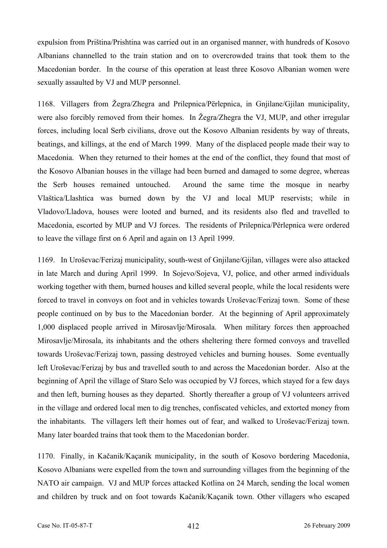expulsion from Priština/Prishtina was carried out in an organised manner, with hundreds of Kosovo Albanians channelled to the train station and on to overcrowded trains that took them to the Macedonian border. In the course of this operation at least three Kosovo Albanian women were sexually assaulted by VJ and MUP personnel.

1168. Villagers from Žegra/Zhegra and Prilepnica/Përlepnica, in Gnjilane/Gjilan municipality, were also forcibly removed from their homes. In Žegra/Zhegra the VJ, MUP, and other irregular forces, including local Serb civilians, drove out the Kosovo Albanian residents by way of threats, beatings, and killings, at the end of March 1999. Many of the displaced people made their way to Macedonia. When they returned to their homes at the end of the conflict, they found that most of the Kosovo Albanian houses in the village had been burned and damaged to some degree, whereas the Serb houses remained untouched. Around the same time the mosque in nearby Vlaštica/Llashtica was burned down by the VJ and local MUP reservists; while in Vladovo/Lladova, houses were looted and burned, and its residents also fled and travelled to Macedonia, escorted by MUP and VJ forces. The residents of Prilepnica/Përlepnica were ordered to leave the village first on 6 April and again on 13 April 1999.

1169. In Uroševac/Ferizaj municipality, south-west of Gnjilane/Gjilan, villages were also attacked in late March and during April 1999. In Sojevo/Sojeva, VJ, police, and other armed individuals working together with them, burned houses and killed several people, while the local residents were forced to travel in convoys on foot and in vehicles towards Uroševac/Ferizaj town. Some of these people continued on by bus to the Macedonian border. At the beginning of April approximately 1,000 displaced people arrived in Mirosavlje/Mirosala. When military forces then approached Mirosavlje/Mirosala, its inhabitants and the others sheltering there formed convoys and travelled towards Uroševac/Ferizaj town, passing destroyed vehicles and burning houses. Some eventually left Uroševac/Ferizaj by bus and travelled south to and across the Macedonian border. Also at the beginning of April the village of Staro Selo was occupied by VJ forces, which stayed for a few days and then left, burning houses as they departed. Shortly thereafter a group of VJ volunteers arrived in the village and ordered local men to dig trenches, confiscated vehicles, and extorted money from the inhabitants. The villagers left their homes out of fear, and walked to Uroševac/Ferizaj town. Many later boarded trains that took them to the Macedonian border.

1170. Finally, in Kačanik/Kaçanik municipality, in the south of Kosovo bordering Macedonia, Kosovo Albanians were expelled from the town and surrounding villages from the beginning of the NATO air campaign. VJ and MUP forces attacked Kotlina on 24 March, sending the local women and children by truck and on foot towards Kačanik/Kaçanik town. Other villagers who escaped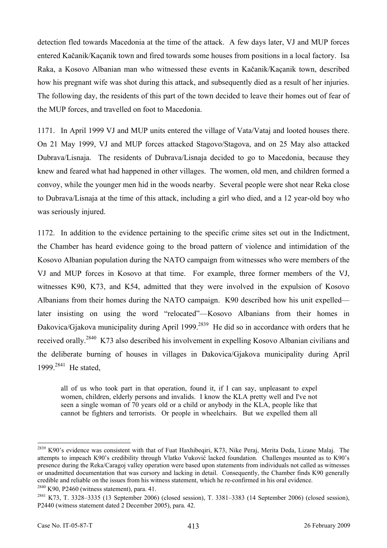detection fled towards Macedonia at the time of the attack. A few days later, VJ and MUP forces entered Kačanik/Kaçanik town and fired towards some houses from positions in a local factory. Isa Raka, a Kosovo Albanian man who witnessed these events in Kačanik/Kaçanik town, described how his pregnant wife was shot during this attack, and subsequently died as a result of her injuries. The following day, the residents of this part of the town decided to leave their homes out of fear of the MUP forces, and travelled on foot to Macedonia.

1171. In April 1999 VJ and MUP units entered the village of Vata/Vataj and looted houses there. On 21 May 1999, VJ and MUP forces attacked Stagovo/Stagova, and on 25 May also attacked Dubrava/Lisnaja. The residents of Dubrava/Lisnaja decided to go to Macedonia, because they knew and feared what had happened in other villages. The women, old men, and children formed a convoy, while the younger men hid in the woods nearby. Several people were shot near Reka close to Dubrava/Lisnaja at the time of this attack, including a girl who died, and a 12 year-old boy who was seriously injured.

1172. In addition to the evidence pertaining to the specific crime sites set out in the Indictment, the Chamber has heard evidence going to the broad pattern of violence and intimidation of the Kosovo Albanian population during the NATO campaign from witnesses who were members of the VJ and MUP forces in Kosovo at that time. For example, three former members of the VJ, witnesses K90, K73, and K54, admitted that they were involved in the expulsion of Kosovo Albanians from their homes during the NATO campaign. K90 described how his unit expelled later insisting on using the word "relocated"—Kosovo Albanians from their homes in Đakovica/Gjakova municipality during April 1999.2839 He did so in accordance with orders that he received orally.<sup>2840</sup> K73 also described his involvement in expelling Kosovo Albanian civilians and the deliberate burning of houses in villages in Đakovica/Gjakova municipality during April 1999.<sup>2841</sup> He stated,

all of us who took part in that operation, found it, if I can say, unpleasant to expel women, children, elderly persons and invalids. I know the KLA pretty well and I've not seen a single woman of 70 years old or a child or anybody in the KLA, people like that cannot be fighters and terrorists. Or people in wheelchairs. But we expelled them all

<sup>&</sup>lt;sup>2839</sup> K90's evidence was consistent with that of Fuat Haxhibeqiri, K73, Nike Peraj, Merita Deda, Lizane Malaj. The attempts to impeach K90's credibility through Vlatko Vuković lacked foundation. Challenges mounted as to K90's presence during the Reka/Caragoj valley operation were based upon statements from individuals not called as witnesses or unadmitted documentation that was cursory and lacking in detail. Consequently, the Chamber finds K90 generally credible and reliable on the issues from his witness statement, which he re-confirmed in his oral evidence.<br><sup>2840</sup> K90, P2460 (witness statement), para. 41.<br><sup>2841</sup> K73, T. 3328–3335 (13 September 2006) (closed session), T.

P2440 (witness statement dated 2 December 2005), para. 42.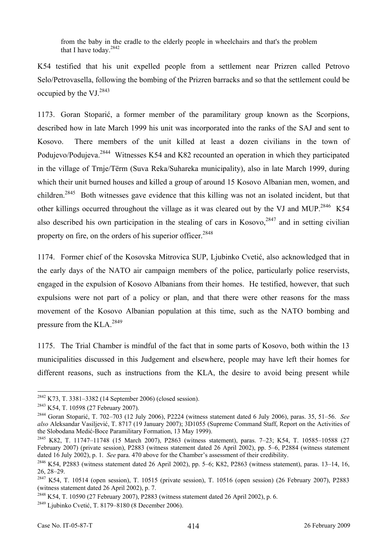from the baby in the cradle to the elderly people in wheelchairs and that's the problem that I have today.2842

K54 testified that his unit expelled people from a settlement near Prizren called Petrovo Selo/Petrovasella, following the bombing of the Prizren barracks and so that the settlement could be occupied by the VJ. $^{2843}$ 

1173. Goran Stoparić, a former member of the paramilitary group known as the Scorpions, described how in late March 1999 his unit was incorporated into the ranks of the SAJ and sent to Kosovo. There members of the unit killed at least a dozen civilians in the town of Podujevo/Podujeva.<sup>2844</sup> Witnesses K54 and K82 recounted an operation in which they participated in the village of Trnje/Tërm (Suva Reka/Suhareka municipality), also in late March 1999, during which their unit burned houses and killed a group of around 15 Kosovo Albanian men, women, and children.<sup>2845</sup> Both witnesses gave evidence that this killing was not an isolated incident, but that other killings occurred throughout the village as it was cleared out by the VJ and MUP.<sup>2846</sup> K54 also described his own participation in the stealing of cars in Kosovo,  $2847$  and in setting civilian property on fire, on the orders of his superior officer.<sup>2848</sup>

1174. Former chief of the Kosovska Mitrovica SUP, Ljubinko Cvetić, also acknowledged that in the early days of the NATO air campaign members of the police, particularly police reservists, engaged in the expulsion of Kosovo Albanians from their homes. He testified, however, that such expulsions were not part of a policy or plan, and that there were other reasons for the mass movement of the Kosovo Albanian population at this time, such as the NATO bombing and pressure from the  $KLA.<sup>2849</sup>$ 

1175. The Trial Chamber is mindful of the fact that in some parts of Kosovo, both within the 13 municipalities discussed in this Judgement and elsewhere, people may have left their homes for different reasons, such as instructions from the KLA, the desire to avoid being present while

<sup>&</sup>lt;sup>2842</sup> K73, T. 3381-3382 (14 September 2006) (closed session).

<sup>&</sup>lt;sup>2843</sup> K54, T. 10598 (27 February 2007).<br><sup>2844</sup> Goran Stoparić, T. 702–703 (12 July 2006), P2224 (witness statement dated 6 July 2006), paras. 35, 51–56. *See also* Aleksandar Vasiljević, T. 8717 (19 January 2007); 3D1055 (Supreme Command Staff, Report on the Activities of the Slobodana Medić-Boce Paramilitary Formation, 13 May 1999). 2845 K82, T. 11747–11748 (15 March 2007), P2863 (witness statement), paras. 7–23; K54, T. 10585–10588 (27

February 2007) (private session), P2883 (witness statement dated 26 April 2002), pp. 5–6, P2884 (witness statement dated 16 July 2002), p. 1. *See* para. 470 above for the Chamber's assessment of their credibility.<br><sup>2846</sup> K54, P2883 (witness statement dated 26 April 2002), pp. 5–6; K82, P2863 (witness statement), paras. 13–14, 16,

<sup>26, 28–29.</sup> 

<sup>2847</sup> K54, T. 10514 (open session), T. 10515 (private session), T. 10516 (open session) (26 February 2007), P2883 (witness statement dated 26 April 2002), p. 7.

<sup>&</sup>lt;sup>2848</sup> K54, T. 10590 (27 February 2007), P2883 (witness statement dated 26 April 2002), p. 6. <sup>2849</sup> Ljubinko Cvetić, T. 8179–8180 (8 December 2006).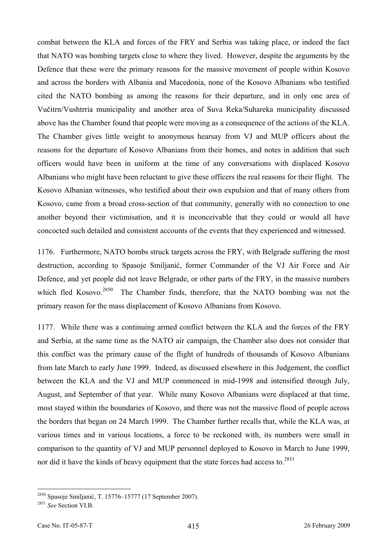combat between the KLA and forces of the FRY and Serbia was taking place, or indeed the fact that NATO was bombing targets close to where they lived. However, despite the arguments by the Defence that these were the primary reasons for the massive movement of people within Kosovo and across the borders with Albania and Macedonia, none of the Kosovo Albanians who testified cited the NATO bombing as among the reasons for their departure, and in only one area of Vučitrn/Vushtrria municipality and another area of Suva Reka/Suhareka municipality discussed above has the Chamber found that people were moving as a consequence of the actions of the KLA. The Chamber gives little weight to anonymous hearsay from VJ and MUP officers about the reasons for the departure of Kosovo Albanians from their homes, and notes in addition that such officers would have been in uniform at the time of any conversations with displaced Kosovo Albanians who might have been reluctant to give these officers the real reasons for their flight. The Kosovo Albanian witnesses, who testified about their own expulsion and that of many others from Kosovo, came from a broad cross-section of that community, generally with no connection to one another beyond their victimisation, and it is inconceivable that they could or would all have concocted such detailed and consistent accounts of the events that they experienced and witnessed.

1176. Furthermore, NATO bombs struck targets across the FRY, with Belgrade suffering the most destruction, according to Spasoje Smiljanić, former Commander of the VJ Air Force and Air Defence, and yet people did not leave Belgrade, or other parts of the FRY, in the massive numbers which fled Kosovo.<sup>2850</sup> The Chamber finds, therefore, that the NATO bombing was not the primary reason for the mass displacement of Kosovo Albanians from Kosovo.

1177. While there was a continuing armed conflict between the KLA and the forces of the FRY and Serbia, at the same time as the NATO air campaign, the Chamber also does not consider that this conflict was the primary cause of the flight of hundreds of thousands of Kosovo Albanians from late March to early June 1999. Indeed, as discussed elsewhere in this Judgement, the conflict between the KLA and the VJ and MUP commenced in mid-1998 and intensified through July, August, and September of that year. While many Kosovo Albanians were displaced at that time, most stayed within the boundaries of Kosovo, and there was not the massive flood of people across the borders that began on 24 March 1999. The Chamber further recalls that, while the KLA was, at various times and in various locations, a force to be reckoned with, its numbers were small in comparison to the quantity of VJ and MUP personnel deployed to Kosovo in March to June 1999, nor did it have the kinds of heavy equipment that the state forces had access to.<sup>2851</sup>

<sup>2850</sup> Spasoje Smiljanić, T. 15776–15777 (17 September 2007). 2851 *See* Section VI.B.